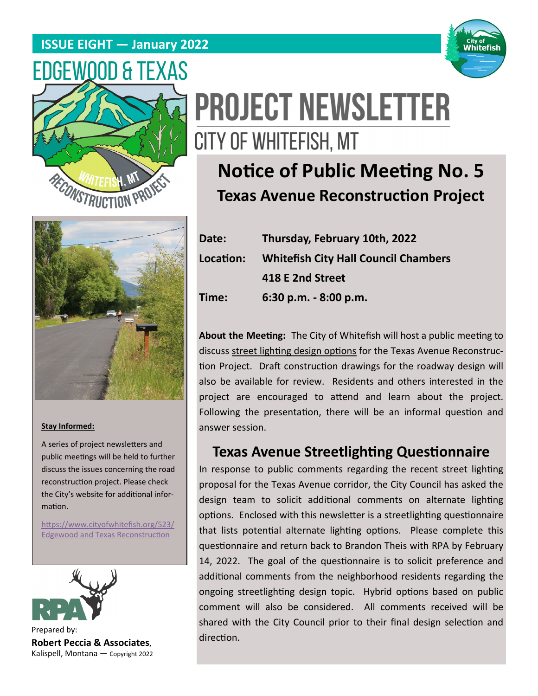### **ISSUE EIGHT — January 2022**







# **Notice of Public Meeting No. 5 Texas Avenue Reconstruction Project**



#### **Stay Informed:**

A series of project newsletters and public meetings will be held to further discuss the issues concerning the road reconstruction project. Please check the City's website for additional information.

https://www.cityofwhitefish.org/523/ **Edgewood and Texas Reconstruction** 



Prepared by: **Robert Peccia & Associates**, Kalispell, Montana — Copyright 2022

## **Date: Thursday, February 10th, 2022 LocaƟon: Whitefish City Hall Council Chambers 418 E 2nd Street Time: 6:30 p.m. ‐ 8:00 p.m.**

About the Meeting: The City of Whitefish will host a public meeting to discuss street lighting design options for the Texas Avenue Reconstruction Project. Draft construction drawings for the roadway design will also be available for review. Residents and others interested in the project are encouraged to attend and learn about the project. Following the presentation, there will be an informal question and answer session.

### **Texas Avenue Streetlighting Questionnaire**

In response to public comments regarding the recent street lighting proposal for the Texas Avenue corridor, the City Council has asked the design team to solicit additional comments on alternate lighting options. Enclosed with this newsletter is a streetlighting questionnaire that lists potential alternate lighting options. Please complete this questionnaire and return back to Brandon Theis with RPA by February 14, 2022. The goal of the questionnaire is to solicit preference and additional comments from the neighborhood residents regarding the ongoing streetlighting design topic. Hybrid options based on public comment will also be considered. All comments received will be shared with the City Council prior to their final design selection and direction.